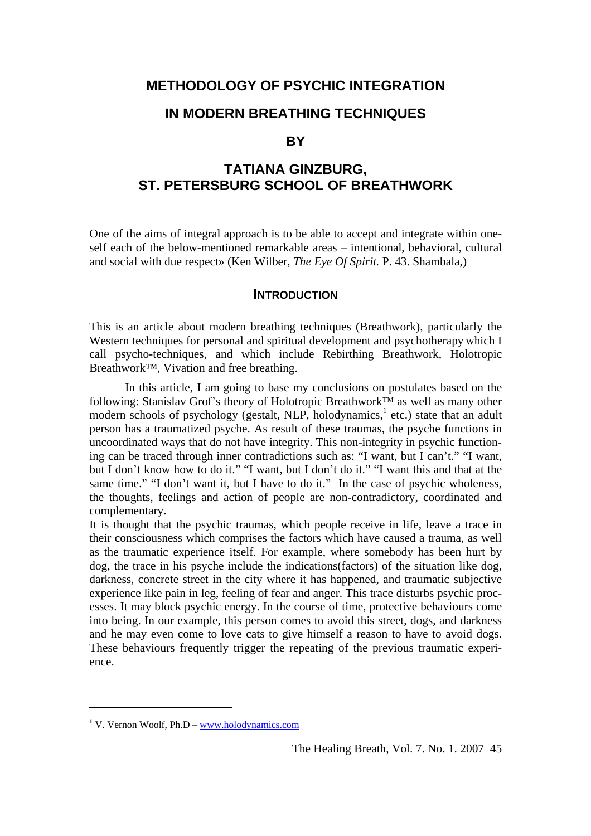## **METHODOLOGY OF PSYCHIC INTEGRATION**

## **IN MODERN BREATHING TECHNIQUES**

#### **BY**

# **TATIANA GINZBURG, ST. PETERSBURG SCHOOL OF BREATHWORK**

One of the aims of integral approach is to be able to accept and integrate within oneself each of the below-mentioned remarkable areas – intentional, behavioral, cultural and social with due respect» (Ken Wilber, *The Eye Of Spirit.* P. 43. Shambala,)

#### **INTRODUCTION**

This is an article about modern breathing techniques (Breathwork), particularly the Western techniques for personal and spiritual development and psychotherapy which I call psycho-techniques, and which include Rebirthing Breathwork, Holotropic Breathwork™, Vivation and free breathing.

In this article, I am going to base my conclusions on postulates based on the following: Stanislav Grof's theory of Holotropic Breathwork™ as well as many other modern schools of psychology (gestalt, NLP, holodynamics,<sup>[1](#page-0-0)</sup> etc.) state that an adult person has a traumatized psyche. As result of these traumas, the psyche functions in uncoordinated ways that do not have integrity. This non-integrity in psychic functioning can be traced through inner contradictions such as: "I want, but I can't." "I want, but I don't know how to do it." "I want, but I don't do it." "I want this and that at the same time." "I don't want it, but I have to do it." In the case of psychic wholeness, the thoughts, feelings and action of people are non-contradictory, coordinated and complementary.

It is thought that the psychic traumas, which people receive in life, leave a trace in their consciousness which comprises the factors which have caused a trauma, as well as the traumatic experience itself. For example, where somebody has been hurt by dog, the trace in his psyche include the indications(factors) of the situation like dog, darkness, concrete street in the city where it has happened, and traumatic subjective experience like pain in leg, feeling of fear and anger. This trace disturbs psychic processes. It may block psychic energy. In the course of time, protective behaviours come into being. In our example, this person comes to avoid this street, dogs, and darkness and he may even come to love cats to give himself a reason to have to avoid dogs. These behaviours frequently trigger the repeating of the previous traumatic experience.

<span id="page-0-0"></span><sup>&</sup>lt;sup>1</sup> V. Vernon Woolf, Ph.D – [www.holodynamics.com](http://www.holodynamics.com/)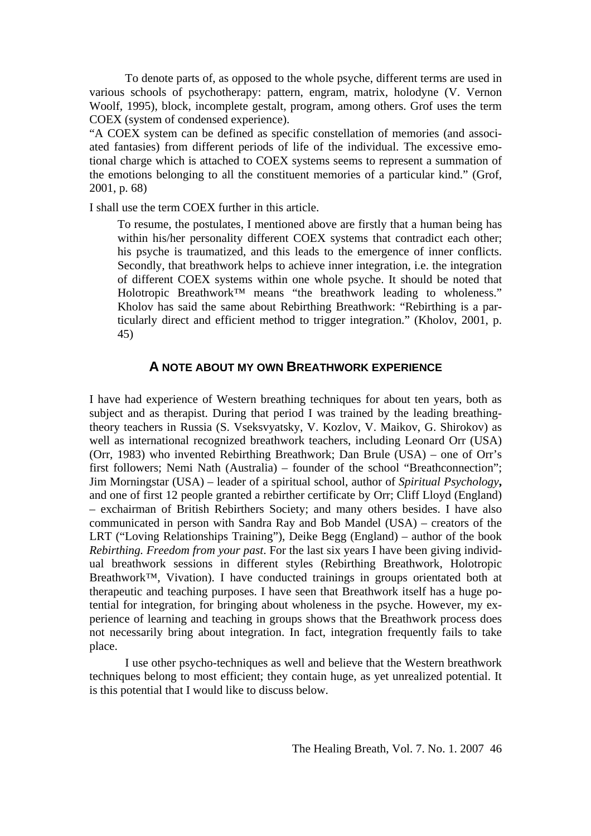To denote parts of, as opposed to the whole psyche, different terms are used in various schools of psychotherapy: pattern, engram, matrix, holodyne (V. Vernon Woolf, 1995), block, incomplete gestalt, program, among others. Grof uses the term COEX (system of condensed experience).

"A COEX system can be defined as specific constellation of memories (and associated fantasies) from different periods of life of the individual. The excessive emotional charge which is attached to COEX systems seems to represent a summation of the emotions belonging to all the constituent memories of a particular kind." (Grof, 2001, p. 68)

I shall use the term COEX further in this article.

 To resume, the postulates, I mentioned above are firstly that a human being has within his/her personality different COEX systems that contradict each other; his psyche is traumatized, and this leads to the emergence of inner conflicts. Secondly, that breathwork helps to achieve inner integration, i.e. the integration of different COEX systems within one whole psyche. It should be noted that Holotropic Breathwork™ means "the breathwork leading to wholeness." Kholov has said the same about Rebirthing Breathwork: "Rebirthing is a particularly direct and efficient method to trigger integration." (Kholov, 2001, p. 45)

#### **A NOTE ABOUT MY OWN BREATHWORK EXPERIENCE**

I have had experience of Western breathing techniques for about ten years, both as subject and as therapist. During that period I was trained by the leading breathingtheory teachers in Russia (S. Vseksvyatsky, V. Kozlov, V. Maikov, G. Shirokov) as well as international recognized breathwork teachers, including Leonard Orr (USA) (Orr, 1983) who invented Rebirthing Breathwork; Dan Brule (USA) – one of Orr's first followers; Nemi Nath (Australia) – founder of the school "Breathconnection"; Jim Morningstar (USA) – leader of a spiritual school, author of *Spiritual Psychology***,**  and one of first 12 people granted a rebirther certificate by Orr; Cliff Lloyd (England) – exchairman of British Rebirthers Society; and many others besides. I have also communicated in person with Sandra Ray and Bob Mandel (USA) – creators of the LRT ("Loving Relationships Training"), Deike Begg (England) – author of the book *Rebirthing. Freedom from your past*. For the last six years I have been giving individual breathwork sessions in different styles (Rebirthing Breathwork, Holotropic Breathwork™, Vivation). I have conducted trainings in groups orientated both at therapeutic and teaching purposes. I have seen that Breathwork itself has a huge potential for integration, for bringing about wholeness in the psyche. However, my experience of learning and teaching in groups shows that the Breathwork process does not necessarily bring about integration. In fact, integration frequently fails to take place.

 I use other psycho-techniques as well and believe that the Western breathwork techniques belong to most efficient; they contain huge, as yet unrealized potential. It is this potential that I would like to discuss below.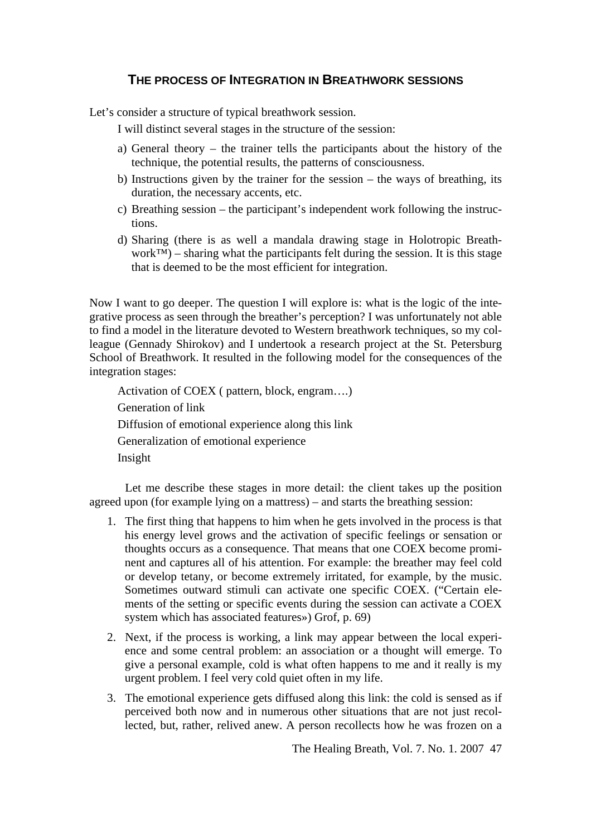## **THE PROCESS OF INTEGRATION IN BREATHWORK SESSIONS**

Let's consider a structure of typical breathwork session.

I will distinct several stages in the structure of the session:

- a) General theory the trainer tells the participants about the history of the technique, the potential results, the patterns of consciousness.
- b) Instructions given by the trainer for the session the ways of breathing, its duration, the necessary accents, etc.
- c) Breathing session the participant's independent work following the instructions.
- d) Sharing (there is as well a mandala drawing stage in Holotropic Breathwork™) – sharing what the participants felt during the session. It is this stage that is deemed to be the most efficient for integration.

Now I want to go deeper. The question I will explore is: what is the logic of the integrative process as seen through the breather's perception? I was unfortunately not able to find a model in the literature devoted to Western breathwork techniques, so my colleague (Gennady Shirokov) and I undertook a research project at the St. Petersburg School of Breathwork. It resulted in the following model for the consequences of the integration stages:

Activation of COEX ( pattern, block, engram….) Generation of link Diffusion of emotional experience along this link Generalization of emotional experience Insight

 Let me describe these stages in more detail: the client takes up the position agreed upon (for example lying on a mattress) – and starts the breathing session:

- 1. The first thing that happens to him when he gets involved in the process is that his energy level grows and the activation of specific feelings or sensation or thoughts occurs as a consequence. That means that one COEX become prominent and captures all of his attention. For example: the breather may feel cold or develop tetany, or become extremely irritated, for example, by the music. Sometimes outward stimuli can activate one specific COEX. ("Certain elements of the setting or specific events during the session can activate a COEX system which has associated features») Grof, p. 69)
- 2. Next, if the process is working, a link may appear between the local experience and some central problem: an association or a thought will emerge. To give a personal example, cold is what often happens to me and it really is my urgent problem. I feel very cold quiet often in my life.
- 3. The emotional experience gets diffused along this link: the cold is sensed as if perceived both now and in numerous other situations that are not just recollected, but, rather, relived anew. A person recollects how he was frozen on a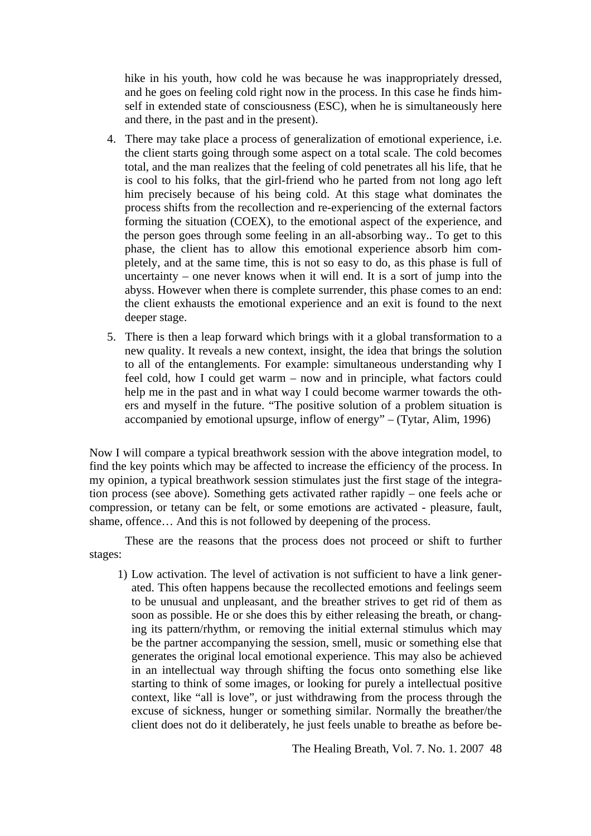hike in his youth, how cold he was because he was inappropriately dressed, and he goes on feeling cold right now in the process. In this case he finds himself in extended state of consciousness (ESC), when he is simultaneously here and there, in the past and in the present).

- 4. There may take place a process of generalization of emotional experience, i.e. the client starts going through some aspect on a total scale. The cold becomes total, and the man realizes that the feeling of cold penetrates all his life, that he is cool to his folks, that the girl-friend who he parted from not long ago left him precisely because of his being cold. At this stage what dominates the process shifts from the recollection and re-experiencing of the external factors forming the situation (COEX), to the emotional aspect of the experience, and the person goes through some feeling in an all-absorbing way.. To get to this phase, the client has to allow this emotional experience absorb him completely, and at the same time, this is not so easy to do, as this phase is full of uncertainty – one never knows when it will end. It is a sort of jump into the abyss. However when there is complete surrender, this phase comes to an end: the client exhausts the emotional experience and an exit is found to the next deeper stage.
- 5. There is then a leap forward which brings with it a global transformation to a new quality. It reveals a new context, insight, the idea that brings the solution to all of the entanglements. For example: simultaneous understanding why I feel cold, how I could get warm – now and in principle, what factors could help me in the past and in what way I could become warmer towards the others and myself in the future. "The positive solution of a problem situation is accompanied by emotional upsurge, inflow of energy" – (Tytar, Alim, 1996)

Now I will compare a typical breathwork session with the above integration model, to find the key points which may be affected to increase the efficiency of the process. In my opinion, a typical breathwork session stimulates just the first stage of the integration process (see above). Something gets activated rather rapidly – one feels ache or compression, or tetany can be felt, or some emotions are activated - pleasure, fault, shame, offence… And this is not followed by deepening of the process.

 These are the reasons that the process does not proceed or shift to further stages:

1) Low activation. The level of activation is not sufficient to have a link generated. This often happens because the recollected emotions and feelings seem to be unusual and unpleasant, and the breather strives to get rid of them as soon as possible. He or she does this by either releasing the breath, or changing its pattern/rhythm, or removing the initial external stimulus which may be the partner accompanying the session, smell, music or something else that generates the original local emotional experience. This may also be achieved in an intellectual way through shifting the focus onto something else like starting to think of some images, or looking for purely a intellectual positive context, like "all is love", or just withdrawing from the process through the excuse of sickness, hunger or something similar. Normally the breather/the client does not do it deliberately, he just feels unable to breathe as before be-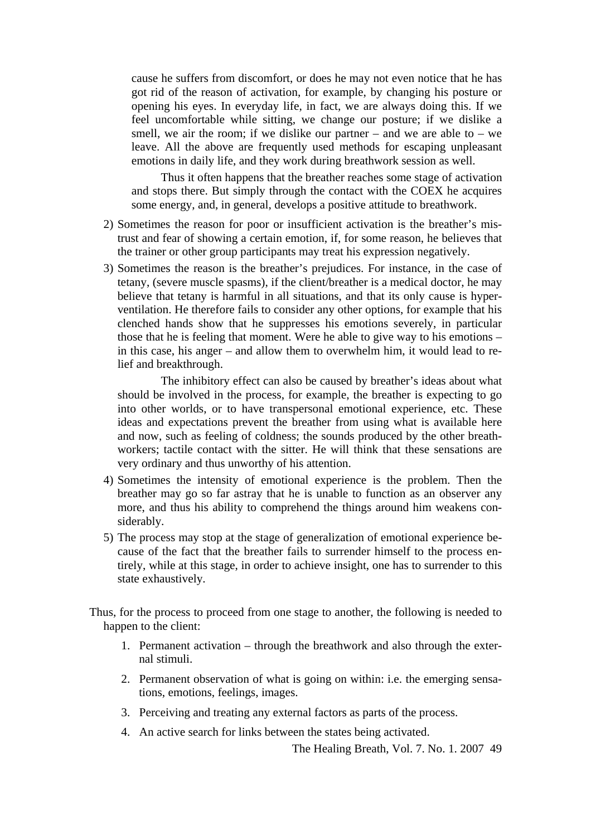cause he suffers from discomfort, or does he may not even notice that he has got rid of the reason of activation, for example, by changing his posture or opening his eyes. In everyday life, in fact, we are always doing this. If we feel uncomfortable while sitting, we change our posture; if we dislike a smell, we air the room; if we dislike our partner – and we are able to – we leave. All the above are frequently used methods for escaping unpleasant emotions in daily life, and they work during breathwork session as well.

 Thus it often happens that the breather reaches some stage of activation and stops there. But simply through the contact with the COEX he acquires some energy, and, in general, develops a positive attitude to breathwork.

- 2) Sometimes the reason for poor or insufficient activation is the breather's mistrust and fear of showing a certain emotion, if, for some reason, he believes that the trainer or other group participants may treat his expression negatively.
- 3) Sometimes the reason is the breather's prejudices. For instance, in the case of tetany, (severe muscle spasms), if the client/breather is a medical doctor, he may believe that tetany is harmful in all situations, and that its only cause is hyperventilation. He therefore fails to consider any other options, for example that his clenched hands show that he suppresses his emotions severely, in particular those that he is feeling that moment. Were he able to give way to his emotions – in this case, his anger – and allow them to overwhelm him, it would lead to relief and breakthrough.

 The inhibitory effect can also be caused by breather's ideas about what should be involved in the process, for example, the breather is expecting to go into other worlds, or to have transpersonal emotional experience, etc. These ideas and expectations prevent the breather from using what is available here and now, such as feeling of coldness; the sounds produced by the other breathworkers; tactile contact with the sitter. He will think that these sensations are very ordinary and thus unworthy of his attention.

- 4) Sometimes the intensity of emotional experience is the problem. Then the breather may go so far astray that he is unable to function as an observer any more, and thus his ability to comprehend the things around him weakens considerably.
- 5) The process may stop at the stage of generalization of emotional experience because of the fact that the breather fails to surrender himself to the process entirely, while at this stage, in order to achieve insight, one has to surrender to this state exhaustively.

Thus, for the process to proceed from one stage to another, the following is needed to happen to the client:

- 1. Permanent activation through the breathwork and also through the external stimuli.
- 2. Permanent observation of what is going on within: i.e. the emerging sensations, emotions, feelings, images.
- 3. Perceiving and treating any external factors as parts of the process.
- 4. An active search for links between the states being activated.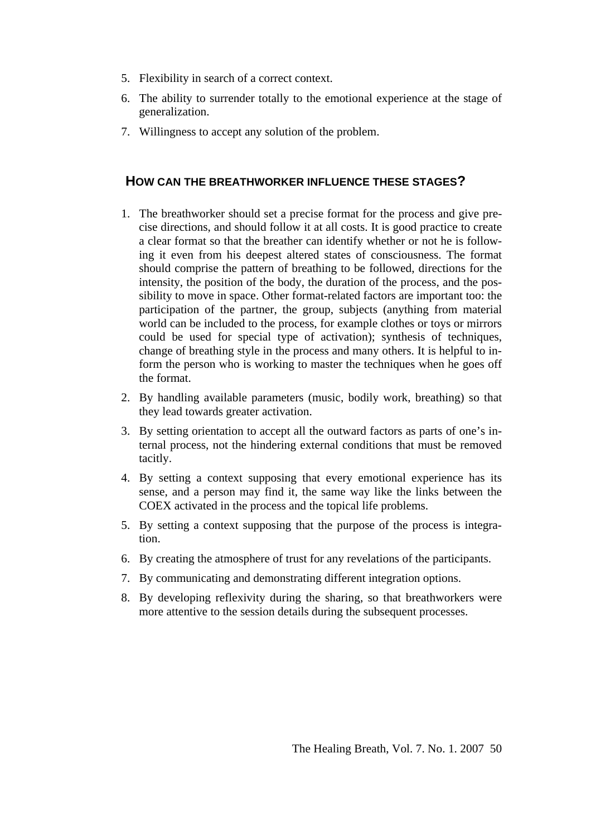- 5. Flexibility in search of a correct context.
- 6. The ability to surrender totally to the emotional experience at the stage of generalization.
- 7. Willingness to accept any solution of the problem.

### **HOW CAN THE BREATHWORKER INFLUENCE THESE STAGES?**

- 1. The breathworker should set a precise format for the process and give precise directions, and should follow it at all costs. It is good practice to create a clear format so that the breather can identify whether or not he is following it even from his deepest altered states of consciousness. The format should comprise the pattern of breathing to be followed, directions for the intensity, the position of the body, the duration of the process, and the possibility to move in space. Other format-related factors are important too: the participation of the partner, the group, subjects (anything from material world can be included to the process, for example clothes or toys or mirrors could be used for special type of activation); synthesis of techniques, change of breathing style in the process and many others. It is helpful to inform the person who is working to master the techniques when he goes off the format.
- 2. By handling available parameters (music, bodily work, breathing) so that they lead towards greater activation.
- 3. By setting orientation to accept all the outward factors as parts of one's internal process, not the hindering external conditions that must be removed tacitly.
- 4. By setting a context supposing that every emotional experience has its sense, and a person may find it, the same way like the links between the COEX activated in the process and the topical life problems.
- 5. By setting a context supposing that the purpose of the process is integration.
- 6. By creating the atmosphere of trust for any revelations of the participants.
- 7. By communicating and demonstrating different integration options.
- 8. By developing reflexivity during the sharing, so that breathworkers were more attentive to the session details during the subsequent processes.